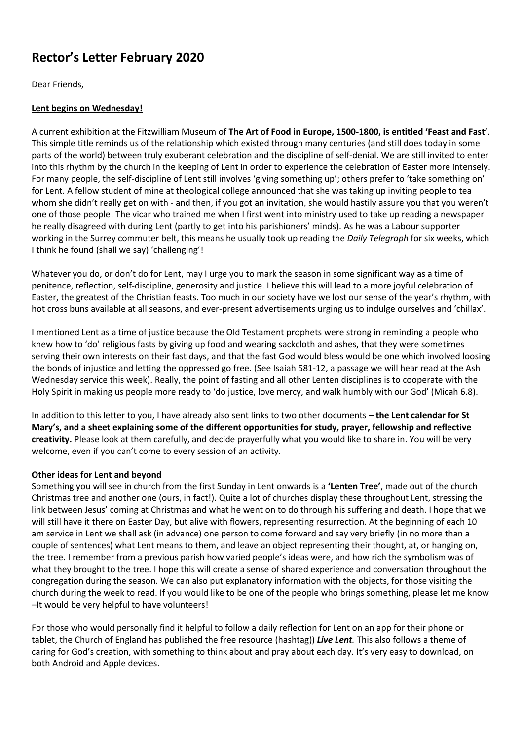## **Rector's Letter February 2020**

Dear Friends,

## **Lent begins on Wednesday!**

A current exhibition at the Fitzwilliam Museum of **The Art of Food in Europe, 1500-1800, is entitled 'Feast and Fast'**. This simple title reminds us of the relationship which existed through many centuries (and still does today in some parts of the world) between truly exuberant celebration and the discipline of self-denial. We are still invited to enter into this rhythm by the church in the keeping of Lent in order to experience the celebration of Easter more intensely. For many people, the self-discipline of Lent still involves 'giving something up'; others prefer to 'take something on' for Lent. A fellow student of mine at theological college announced that she was taking up inviting people to tea whom she didn't really get on with - and then, if you got an invitation, she would hastily assure you that you weren't one of those people! The vicar who trained me when I first went into ministry used to take up reading a newspaper he really disagreed with during Lent (partly to get into his parishioners' minds). As he was a Labour supporter working in the Surrey commuter belt, this means he usually took up reading the *Daily Telegraph* for six weeks, which I think he found (shall we say) 'challenging'!

Whatever you do, or don't do for Lent, may I urge you to mark the season in some significant way as a time of penitence, reflection, self-discipline, generosity and justice. I believe this will lead to a more joyful celebration of Easter, the greatest of the Christian feasts. Too much in our society have we lost our sense of the year's rhythm, with hot cross buns available at all seasons, and ever-present advertisements urging us to indulge ourselves and 'chillax'.

I mentioned Lent as a time of justice because the Old Testament prophets were strong in reminding a people who knew how to 'do' religious fasts by giving up food and wearing sackcloth and ashes, that they were sometimes serving their own interests on their fast days, and that the fast God would bless would be one which involved loosing the bonds of injustice and letting the oppressed go free. (See Isaiah 581-12, a passage we will hear read at the Ash Wednesday service this week). Really, the point of fasting and all other Lenten disciplines is to cooperate with the Holy Spirit in making us people more ready to 'do justice, love mercy, and walk humbly with our God' (Micah 6.8).

In addition to this letter to you, I have already also sent links to two other documents – **the Lent calendar for St Mary's, and a sheet explaining some of the different opportunities for study, prayer, fellowship and reflective creativity.** Please look at them carefully, and decide prayerfully what you would like to share in. You will be very welcome, even if you can't come to every session of an activity.

## **Other ideas for Lent and beyond**

Something you will see in church from the first Sunday in Lent onwards is a **'Lenten Tree'**, made out of the church Christmas tree and another one (ours, in fact!). Quite a lot of churches display these throughout Lent, stressing the link between Jesus' coming at Christmas and what he went on to do through his suffering and death. I hope that we will still have it there on Easter Day, but alive with flowers, representing resurrection. At the beginning of each 10 am service in Lent we shall ask (in advance) one person to come forward and say very briefly (in no more than a couple of sentences) what Lent means to them, and leave an object representing their thought, at, or hanging on, the tree. I remember from a previous parish how varied people's ideas were, and how rich the symbolism was of what they brought to the tree. I hope this will create a sense of shared experience and conversation throughout the congregation during the season. We can also put explanatory information with the objects, for those visiting the church during the week to read. If you would like to be one of the people who brings something, please let me know –It would be very helpful to have volunteers!

For those who would personally find it helpful to follow a daily reflection for Lent on an app for their phone or tablet, the Church of England has published the free resource (hashtag)) *Live Lent.* This also follows a theme of caring for God's creation, with something to think about and pray about each day. It's very easy to download, on both Android and Apple devices.